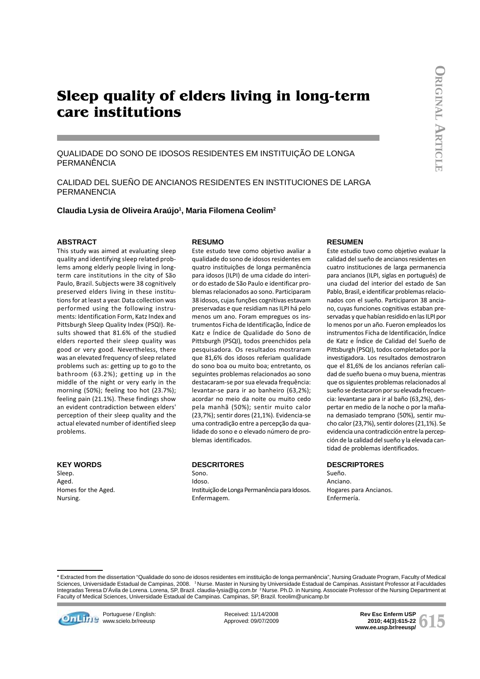# **Sleep quality of elders living in long-term care institutions**

QUALIDADE DO SONO DE IDOSOS RESIDENTES EM INSTITUIÇÃO DE LONGA PERMANÊNCIA

CALIDAD DEL SUEÑO DE ANCIANOS RESIDENTES EN INSTITUCIONES DE LARGA PERMANENCIA

Claudia Lysia de Oliveira Araújo<sup>1</sup>, Maria Filomena Ceolim<sup>2</sup>

## **ABSTRACT**

This study was aimed at evaluating sleep quality and identifying sleep related problems among elderly people living in longterm care institutions in the city of São Paulo, Brazil. Subjects were 38 cognitively preserved elders living in these institutions for at least a year. Data collection was performed using the following instruments: Identification Form, Katz Index and Pittsburgh Sleep Quality Index (PSQI). Results showed that 81.6% of the studied elders reported their sleep quality was good or very good. Nevertheless, there was an elevated frequency of sleep related problems such as: getting up to go to the bathroom (63.2%); getting up in the middle of the night or very early in the morning (50%); feeling too hot (23.7%); feeling pain (21.1%). These findings show an evident contradiction between elders' perception of their sleep quality and the actual elevated number of identified sleep problems.

## **KEY WORDS**

Sleep. Aged. Homes for the Aged. Nursing.

#### **RESUMO**

Este estudo teve como objetivo avaliar a qualidade do sono de idosos residentes em quatro instituições de longa permanência para idosos (ILPI) de uma cidade do interior do estado de São Paulo e identificar problemas relacionados ao sono. Participaram 38 idosos, cujas funções cognitivas estavam preservadas e que residiam nas ILPI há pelo menos um ano. Foram empregues os instrumentos Ficha de Identificação, Índice de Katz e Índice de Qualidade do Sono de Pittsburgh (PSQI), todos preenchidos pela pesquisadora. Os resultados mostraram que 81,6% dos idosos referiam qualidade do sono boa ou muito boa; entretanto, os seguintes problemas relacionados ao sono destacaram-se por sua elevada frequência: levantar-se para ir ao banheiro (63,2%); acordar no meio da noite ou muito cedo pela manhã (50%); sentir muito calor (23,7%); sentir dores (21,1%). Evidencia-se uma contradição entre a percepção da qualidade do sono e o elevado número de problemas identificados.

## **DESCRITORES**

Sono. Idoso. Instituição de Longa Permanência para Idosos. Enfermagem.

#### **RESUMEN**

Este estudio tuvo como objetivo evaluar la calidad del sueño de ancianos residentes en cuatro instituciones de larga permanencia para ancianos (ILPI, siglas en portugués) de una ciudad del interior del estado de San Pablo, Brasil, e identificar problemas relacionados con el sueño. Participaron 38 anciano, cuyas funciones cognitivas estaban preservadas y que habían residido en las ILPI por lo menos por un año. Fueron empleados los instrumentos Ficha de Identificación, Índice de Katz e Índice de Calidad del Sueño de Pittsburgh (PSQI), todos completados por la investigadora. Los resultados demostraron que el 81,6% de los ancianos referían calidad de sueño buena o muy buena, mientras que os siguientes problemas relacionados al sueño se destacaron por su elevada frecuencia: levantarse para ir al baño (63,2%), despertar en medio de la noche o por la mañana demasiado temprano (50%), sentir mucho calor (23,7%), sentir dolores (21,1%). Se evidencia una contradicción entre la percepción de la calidad del sueño y la elevada cantidad de problemas identificados.

#### **DESCRIPTORES**

Sueño. Anciano. Hogares para Ancianos. Enfermería.

\* Extracted from the dissertation "Qualidade do sono de idosos residentes em instituição de longa permanência", Nursing Graduate Program, Faculty of Medical Sciences, Universidade Estadual de Campinas, 2008. 'Nurse. Master in Nursing by Universidade Estadual de Campinas. Assistant Professor at Faculdades<br>Integradas Teresa D'Ávila de Lorena. Lorena, SP, Brazil. claudia-lysia@ig Faculty of Medical Sciences, Universidade Estadual de Campinas. Campinas, SP, Brazil. fceolim@unicamp.br



**communities** www.scielo.br/reeusp

Received: 11/14/2008 Approved: 09/07/2009

Rev Esc Enferm USP<br>2010; 44(3):615-22<br>ww.ee.usp.br/reeusp/ **2010; 44(3):615-22 www.ee.usp.br/reeusp/**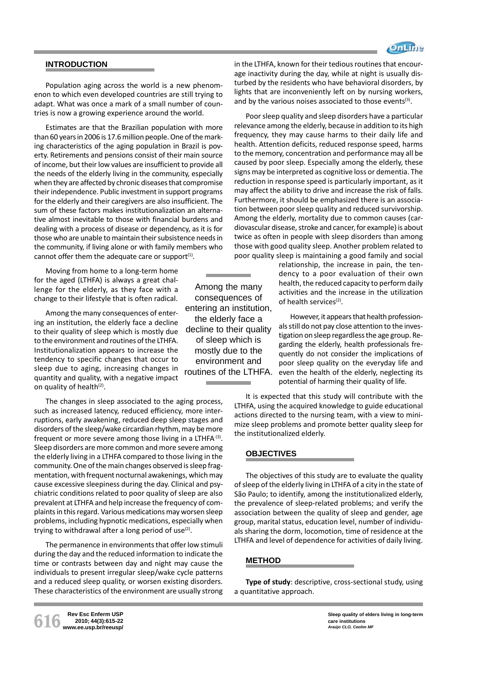

## **INTRODUCTION**

Population aging across the world is a new phenomenon to which even developed countries are still trying to adapt. What was once a mark of a small number of countries is now a growing experience around the world.

Estimates are that the Brazilian population with more than 60 years in 2006 is 17.6 million people. One of the marking characteristics of the aging population in Brazil is poverty. Retirements and pensions consist of their main source of income, but their low values are insufficient to provide all the needs of the elderly living in the community, especially when they are affected by chronic diseases that compromise their independence. Public investment in support programs for the elderly and their caregivers are also insufficient. The sum of these factors makes institutionalization an alternative almost inevitable to those with financial burdens and dealing with a process of disease or dependency, as it is for those who are unable to maintain their subsistence needs in the community, if living alone or with family members who cannot offer them the adequate care or support $(1)$ .

Moving from home to a long-term home for the aged (LTHFA) is always a great challenge for the elderly, as they face with a change to their lifestyle that is often radical.

Among the many consequences of entering an institution, the elderly face a decline to their quality of sleep which is mostly due to the environment and routines of the LTHFA. Institutionalization appears to increase the tendency to specific changes that occur to sleep due to aging, increasing changes in quantity and quality, with a negative impact on quality of health $(2)$ .

The changes in sleep associated to the aging process, such as increased latency, reduced efficiency, more interruptions, early awakening, reduced deep sleep stages and disorders of the sleep/wake circardian rhythm, may be more frequent or more severe among those living in a LTHFA (3). Sleep disorders are more common and more severe among the elderly living in a LTHFA compared to those living in the community. One of the main changes observed is sleep fragmentation, with frequent nocturnal awakenings, which may cause excessive sleepiness during the day. Clinical and psychiatric conditions related to poor quality of sleep are also prevalent at LTHFA and help increase the frequency of complaints in this regard. Various medications may worsen sleep problems, including hypnotic medications, especially when trying to withdrawal after a long period of use $(2)$ .

The permanence in environments that offer low stimuli during the day and the reduced information to indicate the time or contrasts between day and night may cause the individuals to present irregular sleep/wake cycle patterns and a reduced sleep quality, or worsen existing disorders. These characteristics of the environment are usually strong in the LTHFA, known for their tedious routines that encourage inactivity during the day, while at night is usually disturbed by the residents who have behavioral disorders, by lights that are inconveniently left on by nursing workers, and by the various noises associated to those events<sup>(3)</sup>.

Poor sleep quality and sleep disorders have a particular relevance among the elderly, because in addition to its high frequency, they may cause harms to their daily life and health. Attention deficits, reduced response speed, harms to the memory, concentration and performance may all be caused by poor sleep. Especially among the elderly, these signs may be interpreted as cognitive loss or dementia. The reduction in response speed is particularly important, as it may affect the ability to drive and increase the risk of falls. Furthermore, it should be emphasized there is an association between poor sleep quality and reduced survivorship. Among the elderly, mortality due to common causes (cardiovascular disease, stroke and cancer, for example) is about twice as often in people with sleep disorders than among those with good quality sleep. Another problem related to poor quality sleep is maintaining a good family and social

> relationship, the increase in pain, the tendency to a poor evaluation of their own health, the reduced capacity to perform daily activities and the increase in the utilization of health services<sup>(2)</sup>.

> However, it appears that health professionals still do not pay close attention to the investigation on sleep regardless the age group. Regarding the elderly, health professionals frequently do not consider the implications of poor sleep quality on the everyday life and even the health of the elderly, neglecting its potential of harming their quality of life.

It is expected that this study will contribute with the LTHFA, using the acquired knowledge to guide educational actions directed to the nursing team, with a view to minimize sleep problems and promote better quality sleep for the institutionalized elderly.

# **OBJECTIVES**

The objectives of this study are to evaluate the quality of sleep of the elderly living in LTHFA of a city in the state of São Paulo; to identify, among the institutionalized elderly, the prevalence of sleep-related problems; and verify the association between the quality of sleep and gender, age group, marital status, education level, number of individuals sharing the dorm, locomotion, time of residence at the LTHFA and level of dependence for activities of daily living.

#### **METHOD**

**Type of study**: descriptive, cross-sectional study, using a quantitative approach.

consequences of entering an institution, the elderly face a decline to their quality of sleep which is mostly due to the environment and routines of the LTHFA.

Among the many

**616 Rev Esc Enferm USP www.ee.usp.br/reeusp/ 2010; 44(3):615-22**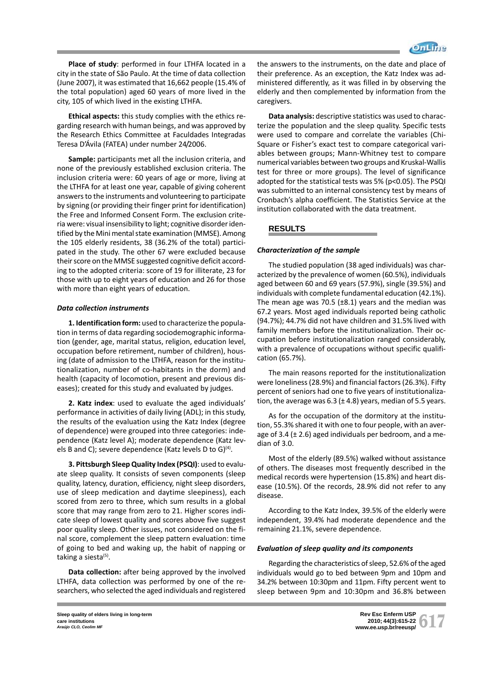

**Place of study**: performed in four LTHFA located in a city in the state of São Paulo. At the time of data collection (June 2007), it was estimated that 16,662 people (15.4% of the total population) aged 60 years of more lived in the city, 105 of which lived in the existing LTHFA.

**Ethical aspects:** this study complies with the ethics regarding research with human beings, and was approved by the Research Ethics Committee at Faculdades Integradas Teresa D'Ávila (FATEA) under number 24/2006.

**Sample:** participants met all the inclusion criteria, and none of the previously established exclusion criteria. The inclusion criteria were: 60 years of age or more, living at the LTHFA for at least one year, capable of giving coherent answers to the instruments and volunteering to participate by signing (or providing their finger print for identification) the Free and Informed Consent Form. The exclusion criteria were: visual insensibility to light; cognitive disorder identified by the Mini mental state examination (MMSE). Among the 105 elderly residents, 38 (36.2% of the total) participated in the study. The other 67 were excluded because their score on the MMSE suggested cognitive deficit according to the adopted criteria: score of 19 for illiterate, 23 for those with up to eight years of education and 26 for those with more than eight years of education.

## *Data collection instruments*

**1. Identification form:** used to characterize the population in terms of data regarding sociodemographic information (gender, age, marital status, religion, education level, occupation before retirement, number of children), housing (date of admission to the LTHFA, reason for the institutionalization, number of co-habitants in the dorm) and health (capacity of locomotion, present and previous diseases); created for this study and evaluated by judges.

**2. Katz index**: used to evaluate the aged individuals' performance in activities of daily living (ADL); in this study, the results of the evaluation using the Katz Index (degree of dependence) were grouped into three categories: independence (Katz level A); moderate dependence (Katz levels B and C); severe dependence (Katz levels D to G)<sup>(4)</sup>.

**3. Pittsburgh Sleep Quality Index (PSQI)**: used to evaluate sleep quality. It consists of seven components (sleep quality, latency, duration, efficiency, night sleep disorders, use of sleep medication and daytime sleepiness), each scored from zero to three, which sum results in a global score that may range from zero to 21. Higher scores indicate sleep of lowest quality and scores above five suggest poor quality sleep. Other issues, not considered on the final score, complement the sleep pattern evaluation: time of going to bed and waking up, the habit of napping or taking a siesta $(5)$ .

**Data collection:** after being approved by the involved LTHFA, data collection was performed by one of the researchers, who selected the aged individuals and registered the answers to the instruments, on the date and place of their preference. As an exception, the Katz Index was administered differently, as it was filled in by observing the elderly and then complemented by information from the caregivers.

**Data analysis:** descriptive statistics was used to characterize the population and the sleep quality. Specific tests were used to compare and correlate the variables (Chi-Square or Fisher's exact test to compare categorical variables between groups; Mann-Whitney test to compare numerical variables between two groups and Kruskal-Wallis test for three or more groups). The level of significance adopted for the statistical tests was 5% (p<0.05). The PSQI was submitted to an internal consistency test by means of Cronbach's alpha coefficient. The Statistics Service at the institution collaborated with the data treatment.

## **RESULTS**

#### *Characterization of the sample*

The studied population (38 aged individuals) was characterized by the prevalence of women (60.5%), individuals aged between 60 and 69 years (57.9%), single (39.5%) and individuals with complete fundamental education (42.1%). The mean age was 70.5 ( $\pm$ 8.1) years and the median was 67.2 years. Most aged individuals reported being catholic (94.7%); 44.7% did not have children and 31.5% lived with family members before the institutionalization. Their occupation before institutionalization ranged considerably, with a prevalence of occupations without specific qualification (65.7%).

The main reasons reported for the institutionalization were loneliness (28.9%) and financial factors (26.3%). Fifty percent of seniors had one to five years of institutionalization, the average was  $6.3$  ( $\pm$  4.8) years, median of 5.5 years.

As for the occupation of the dormitory at the institution, 55.3% shared it with one to four people, with an average of 3.4 ( $\pm$  2.6) aged individuals per bedroom, and a median of 3.0.

Most of the elderly (89.5%) walked without assistance of others. The diseases most frequently described in the medical records were hypertension (15.8%) and heart disease (10.5%). Of the records, 28.9% did not refer to any disease.

According to the Katz Index, 39.5% of the elderly were independent, 39.4% had moderate dependence and the remaining 21.1%, severe dependence.

#### *Evaluation of sleep quality and its components*

Regarding the characteristics of sleep, 52.6% of the aged individuals would go to bed between 9pm and 10pm and 34.2% between 10:30pm and 11pm. Fifty percent went to sleep between 9pm and 10:30pm and 36.8% between

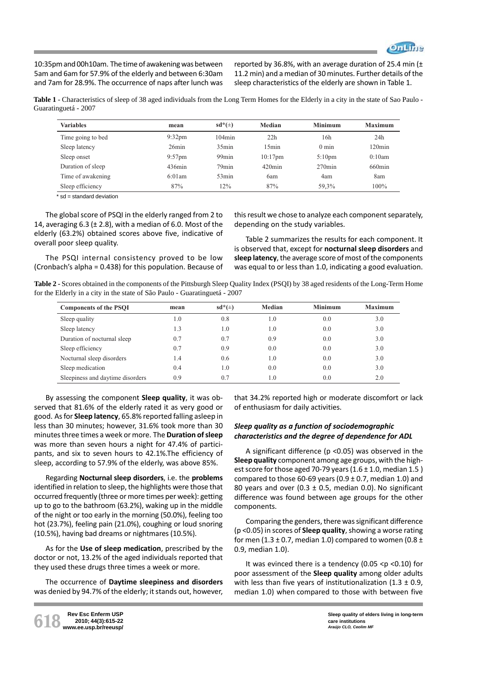

10:35pm and 00h10am. The time of awakening was between 5am and 6am for 57.9% of the elderly and between 6:30am and 7am for 28.9%. The occurrence of naps after lunch was

reported by 36.8%, with an average duration of 25.4 min  $(±)$ 11.2 min) and a median of 30 minutes. Further details of the sleep characteristics of the elderly are shown in Table 1.

**Table 1** - Characteristics of sleep of 38 aged individuals from the Long Term Homes for the Elderly in a city in the state of Sao Paulo - Guaratinguetá - 2007

| <b>Variables</b>  | mean             | $sd^*(\pm)$       | Median     | <b>Minimum</b>     | <b>Maximum</b> |
|-------------------|------------------|-------------------|------------|--------------------|----------------|
| Time going to bed | $9:32 \text{pm}$ | $104$ min         | 22h        | 16h                | 24h            |
| Sleep latency     | 26min            | $35$ min          | $15$ min   | $0 \text{ min}$    | $120$ min      |
| Sleep onset       | $9:57$ pm        | 99 <sub>min</sub> | $10:17$ pm | 5:10 <sub>pm</sub> | 0:10am         |
| Duration of sleep | $436$ min        | 79 <sub>min</sub> | $420$ min  | $270$ min          | $660$ min      |
| Time of awakening | 6:01am           | $53$ min          | 6am        | 4am                | 8am            |
| Sleep efficiency  | 87%              | 12%               | 87%        | 59,3%              | $100\%$        |

\* sd = standard deviation

The global score of PSQI in the elderly ranged from 2 to 14, averaging  $6.3$  ( $\pm$  2.8), with a median of 6.0. Most of the elderly (63.2%) obtained scores above five, indicative of overall poor sleep quality.

this result we chose to analyze each component separately, depending on the study variables.

Table 2 summarizes the results for each component. It is observed that, except for **nocturnal sleep disorders** and **sleep latency**, the average score of most of the components was equal to or less than 1.0, indicating a good evaluation.

The PSQI internal consistency proved to be low (Cronbach's alpha = 0.438) for this population. Because of

**Table 2 -** Scores obtained in the components of the Pittsburgh Sleep Quality Index (PSQI) by 38 aged residents of the Long-Term Home for the Elderly in a city in the state of São Paulo - Guaratinguetá - 2007

| <b>Components of the PSQI</b>    | mean | $sd^*(\pm)$ | Median | <b>Minimum</b> | <b>Maximum</b> |
|----------------------------------|------|-------------|--------|----------------|----------------|
| Sleep quality                    | 1.0  | 0.8         | 1.0    | 0.0            | 3.0            |
| Sleep latency                    | 1.3  | 1.0         | 1.0    | 0.0            | 3.0            |
| Duration of nocturnal sleep      | 0.7  | 0.7         | 0.9    | 0.0            | 3.0            |
| Sleep efficiency                 | 0.7  | 0.9         | 0.0    | 0.0            | 3.0            |
| Nocturnal sleep disorders        | 1.4  | 0.6         | 1.0    | 0.0            | 3.0            |
| Sleep medication                 | 0.4  | 1.0         | 0.0    | 0.0            | 3.0            |
| Sleepiness and daytime disorders | 0.9  | 0.7         | 1.0    | 0.0            | 2.0            |

By assessing the component **Sleep quality**, it was observed that 81.6% of the elderly rated it as very good or good. As for **Sleep latency**, 65.8% reported falling asleep in less than 30 minutes; however, 31.6% took more than 30 minutes three times a week or more. The **Duration of sleep** was more than seven hours a night for 47.4% of participants, and six to seven hours to 42.1%.The efficiency of sleep, according to 57.9% of the elderly, was above 85%.

Regarding **Nocturnal sleep disorders**, i.e. the **problems** identified in relation to sleep, the highlights were those that occurred frequently (three or more times per week): getting up to go to the bathroom (63.2%), waking up in the middle of the night or too early in the morning (50.0%), feeling too hot (23.7%), feeling pain (21.0%), coughing or loud snoring (10.5%), having bad dreams or nightmares (10.5%).

As for the **Use of sleep medication**, prescribed by the doctor or not, 13.2% of the aged individuals reported that they used these drugs three times a week or more.

The occurrence of **Daytime sleepiness and disorders** was denied by 94.7% of the elderly; it stands out, however,

that 34.2% reported high or moderate discomfort or lack of enthusiasm for daily activities.

# *Sleep quality as a function of sociodemographic characteristics and the degree of dependence for ADL*

A significant difference (p <0.05) was observed in the **Sleep quality** component among age groups, with the highest score for those aged 70-79 years  $(1.6 \pm 1.0, \text{median } 1.5)$ compared to those 60-69 years (0.9  $\pm$  0.7, median 1.0) and 80 years and over (0.3  $\pm$  0.5, median 0.0). No significant difference was found between age groups for the other components.

Comparing the genders, there was significant difference (p <0.05) in scores of **Sleep quality**, showing a worse rating for men (1.3  $\pm$  0.7, median 1.0) compared to women (0.8  $\pm$ 0.9, median 1.0).

It was evinced there is a tendency (0.05  $<$ p  $<$ 0.10) for poor assessment of the **Sleep quality** among older adults with less than five years of institutionalization  $(1.3 \pm 0.9, 1.1)$ median 1.0) when compared to those with between five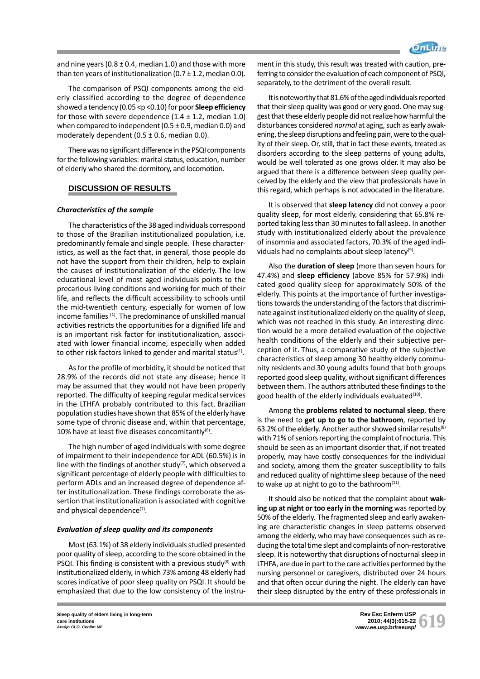and nine years ( $0.8 \pm 0.4$ , median 1.0) and those with more than ten years of institutionalization (0.7  $\pm$  1.2, median 0.0).

The comparison of PSQI components among the elderly classified according to the degree of dependence showed a tendency (0.05 <p <0.10) for poor **Sleep efficiency** for those with severe dependence  $(1.4 \pm 1.2, \text{median } 1.0)$ when compared to independent ( $0.5 \pm 0.9$ , median 0.0) and moderately dependent (0.5  $\pm$  0.6, median 0.0).

There was no significant difference in the PSQI components for the following variables: marital status, education, number of elderly who shared the dormitory, and locomotion.

## **DISCUSSION OF RESULTS**

## *Characteristics of the sample*

The characteristics of the 38 aged individuals correspond to those of the Brazilian institutionalized population, i.e. predominantly female and single people. These characteristics, as well as the fact that, in general, those people do not have the support from their children, help to explain the causes of institutionalization of the elderly. The low educational level of most aged individuals points to the precarious living conditions and working for much of their life, and reflects the difficult accessibility to schools until the mid-twentieth century, especially for women of low income families <sup>(1)</sup>. The predominance of unskilled manual activities restricts the opportunities for a dignified life and is an important risk factor for institutionalization, associated with lower financial income, especially when added to other risk factors linked to gender and marital status $(1)$ .

As for the profile of morbidity, it should be noticed that 28.9% of the records did not state any disease; hence it may be assumed that they would not have been properly reported. The difficulty of keeping regular medical services in the LTHFA probably contributed to this fact. Brazilian population studies have shown that 85% of the elderly have some type of chronic disease and, within that percentage, 10% have at least five diseases concomitantly $^{(6)}$ .

The high number of aged individuals with some degree of impairment to their independence for ADL (60.5%) is in line with the findings of another study<sup>(7)</sup>, which observed a significant percentage of elderly people with difficulties to perform ADLs and an increased degree of dependence after institutionalization. These findings corroborate the assertion that institutionalization is associated with cognitive and physical dependence<sup>(7)</sup>.

## *Evaluation of sleep quality and its components*

Most (63.1%) of 38 elderly individuals studied presented poor quality of sleep, according to the score obtained in the **PSQI.** This finding is consistent with a previous study<sup>(8)</sup> with institutionalized elderly, in which 73% among 48 elderly had scores indicative of poor sleep quality on PSQI. It should be emphasized that due to the low consistency of the instrument in this study, this result was treated with caution, preferring to consider the evaluation of each component of PSQI, separately, to the detriment of the overall result.

It is noteworthy that 81.6% of the aged individuals reported that their sleep quality was good or very good. One may suggest that these elderly people did not realize how harmful the disturbances considered *normal* at aging, such as early awakening, the sleep disruptions and feeling pain, were to the quality of their sleep. Or, still, that in fact these events, treated as disorders according to the sleep patterns of young adults, would be well tolerated as one grows older. It may also be argued that there is a difference between sleep quality perceived by the elderly and the view that professionals have in this regard, which perhaps is not advocated in the literature.

It is observed that **sleep latency** did not convey a poor quality sleep, for most elderly, considering that 65.8% reported taking less than 30 minutes to fall asleep. In another study with institutionalized elderly about the prevalence of insomnia and associated factors, 70.3% of the aged individuals had no complaints about sleep latency<sup>(9)</sup>.

Also the **duration of sleep** (more than seven hours for 47.4%) and **sleep efficiency** (above 85% for 57.9%) indicated good quality sleep for approximately 50% of the elderly. This points at the importance of further investigations towards the understanding of the factors that discriminate against institutionalized elderly on the quality of sleep, which was not reached in this study. An interesting direction would be a more detailed evaluation of the objective health conditions of the elderly and their subjective perception of it. Thus, a comparative study of the subjective characteristics of sleep among 30 healthy elderly community residents and 30 young adults found that both groups reported good sleep quality, without significant differences between them. The authors attributed these findings to the good health of the elderly individuals evaluated<sup>(10)</sup>.

Among the **problems related to nocturnal sleep**, there is the need to **get up to go to the bathroom**, reported by 63.2% of the elderly. Another author showed similar results<sup>(8)</sup> with 71% of seniors reporting the complaint of nocturia. This should be seen as an important disorder that, if not treated properly, may have costly consequences for the individual and society, among them the greater susceptibility to falls and reduced quality of nighttime sleep because of the need to wake up at night to go to the bathroom $(11)$ .

It should also be noticed that the complaint about **waking up at night or too early in the morning** was reported by 50% of the elderly. The fragmented sleep and early awakening are characteristic changes in sleep patterns observed among the elderly, who may have consequences such as reducing the total time slept and complaints of non-restorative sleep. It is noteworthy that disruptions of nocturnal sleep in LTHFA, are due in part to the care activities performed by the nursing personnel or caregivers, distributed over 24 hours and that often occur during the night. The elderly can have their sleep disrupted by the entry of these professionals in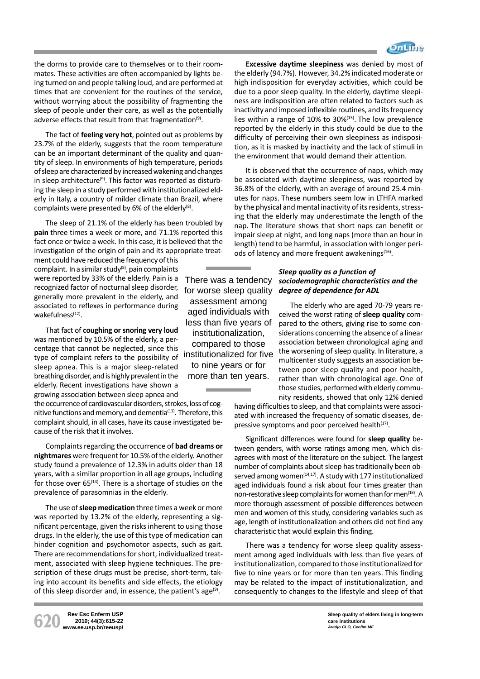

the dorms to provide care to themselves or to their roommates. These activities are often accompanied by lights being turned on and people talking loud, and are performed at times that are convenient for the routines of the service, without worrying about the possibility of fragmenting the sleep of people under their care, as well as the potentially adverse effects that result from that fragmentation<sup>(9)</sup>.

The fact of **feeling very hot**, pointed out as problems by 23.7% of the elderly, suggests that the room temperature can be an important determinant of the quality and quantity of sleep. In environments of high temperature, periods of sleep are characterized by increased wakening and changes in sleep architecture<sup>(9)</sup>. This factor was reported as disturbing the sleep in a study performed with institutionalized elderly in Italy, a country of milder climate than Brazil, where complaints were presented by 6% of the elderly<sup>(8)</sup>.

The sleep of 21.1% of the elderly has been troubled by **pain** three times a week or more, and 71.1% reported this fact once or twice a week. In this case, it is believed that the investigation of the origin of pain and its appropriate treat-

ment could have reduced the frequency of this complaint. In a similar study $(8)$ , pain complaints were reported by 33% of the elderly. Pain is a recognized factor of nocturnal sleep disorder, generally more prevalent in the elderly, and associated to reflexes in performance during wakefulness $(12)$ .

That fact of **coughing or snoring very loud** was mentioned by 10.5% of the elderly, a percentage that cannot be neglected, since this type of complaint refers to the possibility of sleep apnea. This is a major sleep-related breathing disorder, and is highly prevalent in the elderly. Recent investigations have shown a growing association between sleep apnea and

the occurrence of cardiovascular disorders, strokes, loss of cognitive functions and memory, and dementia<sup>(13)</sup>. Therefore, this complaint should, in all cases, have its cause investigated because of the risk that it involves.

Complaints regarding the occurrence of **bad dreams or nightmares** were frequent for 10.5% of the elderly. Another study found a prevalence of 12.3% in adults older than 18 years, with a similar proportion in all age groups, including for those over  $65^{(14)}$ . There is a shortage of studies on the prevalence of parasomnias in the elderly.

The use of **sleep medication** three times a week or more was reported by 13.2% of the elderly, representing a significant percentage, given the risks inherent to using those drugs. In the elderly, the use of this type of medication can hinder cognition and psychomotor aspects, such as gait. There are recommendations for short, individualized treatment, associated with sleep hygiene techniques. The prescription of these drugs must be precise, short-term, taking into account its benefits and side effects, the etiology of this sleep disorder and, in essence, the patient's age<sup>(9)</sup>.

**620 Rev Esc Enferm USP www.ee.usp.br/reeusp/**

**2010; 44(3):615-22**

There was a tendency for worse sleep quality assessment among aged individuals with less than five years of institutionalization, compared to those institutionalized for five to nine years or for more than ten years.

**Excessive daytime sleepiness** was denied by most of the elderly (94.7%). However, 34.2% indicated moderate or high indisposition for everyday activities, which could be due to a poor sleep quality. In the elderly, daytime sleepiness are indisposition are often related to factors such as inactivity and imposed inflexible routines, and its frequency lies within a range of 10% to 30%(15). The low prevalence reported by the elderly in this study could be due to the difficulty of perceiving their own sleepiness as indisposition, as it is masked by inactivity and the lack of stimuli in the environment that would demand their attention.

It is observed that the occurrence of naps, which may be associated with daytime sleepiness, was reported by 36.8% of the elderly, with an average of around 25.4 minutes for naps. These numbers seem low in LTHFA marked by the physical and mental inactivity of its residents, stressing that the elderly may underestimate the length of the nap. The literature shows that short naps can benefit or impair sleep at night, and long naps (more than an hour in length) tend to be harmful, in association with longer periods of latency and more frequent awakenings<sup>(16)</sup>.

## *Sleep quality as a function of sociodemographic characteristics and the degree of dependence for ADL*

The elderly who are aged 70-79 years received the worst rating of **sleep quality** compared to the others, giving rise to some considerations concerning the absence of a linear association between chronological aging and the worsening of sleep quality. In literature, a multicenter study suggests an association between poor sleep quality and poor health, rather than with chronological age. One of those studies, performed with elderly community residents, showed that only 12% denied

having difficulties to sleep, and that complaints were associated with increased the frequency of somatic diseases, depressive symptoms and poor perceived health $(17)$ .

Significant differences were found for **sleep quality** between genders, with worse ratings among men, which disagrees with most of the literature on the subject. The largest number of complaints about sleep has traditionally been observed among women $(14,17)$ . A study with 177 institutionalized aged individuals found a risk about four times greater than non-restorative sleep complaints for women than for men<sup>(18)</sup>. A more thorough assessment of possible differences between men and women of this study, considering variables such as age, length of institutionalization and others did not find any characteristic that would explain this finding.

There was a tendency for worse sleep quality assessment among aged individuals with less than five years of institutionalization, compared to those institutionalized for five to nine years or for more than ten years. This finding may be related to the impact of institutionalization, and consequently to changes to the lifestyle and sleep of that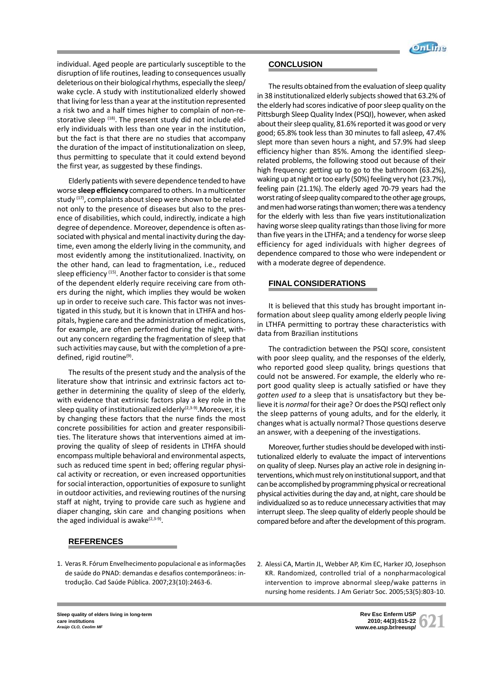

individual. Aged people are particularly susceptible to the disruption of life routines, leading to consequences usually deleterious on their biological rhythms, especially the sleep/ wake cycle. A study with institutionalized elderly showed that living for less than a year at the institution represented a risk two and a half times higher to complain of non-restorative sleep  $(18)$ . The present study did not include elderly individuals with less than one year in the institution, but the fact is that there are no studies that accompany the duration of the impact of institutionalization on sleep, thus permitting to speculate that it could extend beyond the first year, as suggested by these findings.

Elderly patients with severe dependence tended to have worse **sleep efficiency** compared to others. In a multicenter study <sup>(17)</sup>, complaints about sleep were shown to be related not only to the presence of diseases but also to the presence of disabilities, which could, indirectly, indicate a high degree of dependence. Moreover, dependence is often associated with physical and mental inactivity during the daytime, even among the elderly living in the community, and most evidently among the institutionalized. Inactivity, on the other hand, can lead to fragmentation, i.e., reduced sleep efficiency <sup>(15)</sup>. Another factor to consider is that some of the dependent elderly require receiving care from others during the night, which implies they would be woken up in order to receive such care. This factor was not investigated in this study, but it is known that in LTHFA and hospitals, hygiene care and the administration of medications, for example, are often performed during the night, without any concern regarding the fragmentation of sleep that such activities may cause, but with the completion of a predefined, rigid routine<sup>(9)</sup>.

The results of the present study and the analysis of the literature show that intrinsic and extrinsic factors act together in determining the quality of sleep of the elderly, with evidence that extrinsic factors play a key role in the sleep quality of institutionalized elderly $(2,3-9)$ . Moreover, it is by changing these factors that the nurse finds the most concrete possibilities for action and greater responsibilities. The literature shows that interventions aimed at improving the quality of sleep of residents in LTHFA should encompass multiple behavioral and environmental aspects, such as reduced time spent in bed; offering regular physical activity or recreation, or even increased opportunities for social interaction, opportunities of exposure to sunlight in outdoor activities, and reviewing routines of the nursing staff at night, trying to provide care such as hygiene and diaper changing, skin care and changing positions when the aged individual is awake $(2,3-9)$ .

# **REFERENCES**

1. Veras R. Fórum Envelhecimento populacional e as informações de saúde do PNAD: demandas e desafios contemporâneos: introdução. Cad Saúde Pública. 2007;23(10):2463-6.

# **CONCLUSION**

The results obtained from the evaluation of sleep quality in 38 institutionalized elderly subjects showed that 63.2% of the elderly had scores indicative of poor sleep quality on the Pittsburgh Sleep Quality Index (PSQI), however, when asked about their sleep quality, 81.6% reported it was good or very good; 65.8% took less than 30 minutes to fall asleep, 47.4% slept more than seven hours a night, and 57.9% had sleep efficiency higher than 85%. Among the identified sleeprelated problems, the following stood out because of their high frequency: getting up to go to the bathroom (63.2%), waking up at night or too early (50%) feeling very hot (23.7%), feeling pain (21.1%). The elderly aged 70-79 years had the worst rating of sleep quality compared to the other age groups, and men had worse ratings than women; there was a tendency for the elderly with less than five years institutionalization having worse sleep quality ratings than those living for more than five years in the LTHFA; and a tendency for worse sleep efficiency for aged individuals with higher degrees of dependence compared to those who were independent or with a moderate degree of dependence.

## **FINAL CONSIDERATIONS**

It is believed that this study has brought important information about sleep quality among elderly people living in LTHFA permitting to portray these characteristics with data from Brazilian institutions

The contradiction between the PSQI score, consistent with poor sleep quality, and the responses of the elderly, who reported good sleep quality, brings questions that could not be answered. For example, the elderly who report good quality sleep is actually satisfied or have they *gotten used to* a sleep that is unsatisfactory but they believe it is *normal* for their age? Or does the PSQI reflect only the sleep patterns of young adults, and for the elderly, it changes what is actually normal? Those questions deserve an answer, with a deepening of the investigations.

Moreover, further studies should be developed with institutionalized elderly to evaluate the impact of interventions on quality of sleep. Nurses play an active role in designing interventions, which must rely on institutional support, and that can be accomplished by programming physical or recreational physical activities during the day and, at night, care should be individualized so as to reduce unnecessary activities that may interrupt sleep. The sleep quality of elderly people should be compared before and after the development of this program.

2. Alessi CA, Martin JL, Webber AP, Kim EC, Harker JO, Josephson KR. Randomized, controlled trial of a nonpharmacological intervention to improve abnormal sleep/wake patterns in nursing home residents. J Am Geriatr Soc. 2005;53(5):803-10.

**Sleep quality of elders living in long-term care institutions** *Araújo CLO, Ceolim MF*